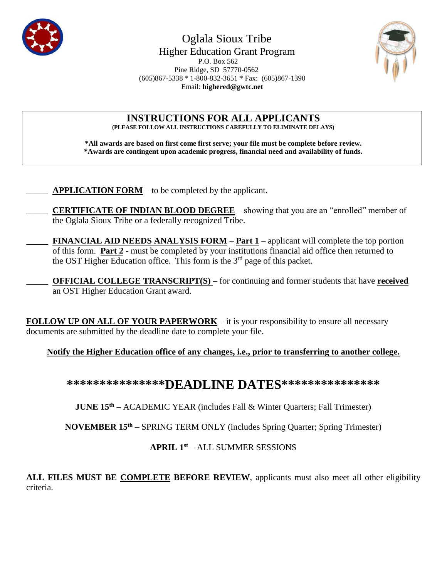

 Oglala Sioux Tribe Higher Education Grant Program P.O. Box 562 Pine Ridge, SD 57770-0562 (605)867-5338 \* 1-800-832-3651 \* Fax: (605)867-1390 Email: **[highered@gwtc.net](mailto:Email:%20highered@gwtc.net)**



**INSTRUCTIONS FOR ALL APPLICANTS (PLEASE FOLLOW ALL INSTRUCTIONS CAREFULLY TO ELIMINATE DELAYS)**

**\*All awards are based on first come first serve; your file must be complete before review. \*Awards are contingent upon academic progress, financial need and availability of funds.**

APPLICATION FORM – to be completed by the applicant.

\_\_\_\_\_ **CERTIFICATE OF INDIAN BLOOD DEGREE** – showing that you are an "enrolled" member of the Oglala Sioux Tribe or a federally recognized Tribe.

\_\_\_\_\_ **FINANCIAL AID NEEDS ANALYSIS FORM** – **Part 1** – applicant will complete the top portion of this form. **Part 2** - must be completed by your institutions financial aid office then returned to the OST Higher Education office. This form is the  $3<sup>rd</sup>$  page of this packet.

\_\_\_\_\_ **OFFICIAL COLLEGE TRANSCRIPT(S)** – for continuing and former students that have **received** an OST Higher Education Grant award.

**FOLLOW UP ON ALL OF YOUR PAPERWORK** – it is your responsibility to ensure all necessary documents are submitted by the deadline date to complete your file.

**Notify the Higher Education office of any changes, i.e., prior to transferring to another college.**

**\*\*\*\*\*\*\*\*\*\*\*\*\*\*\*DEADLINE DATES\*\*\*\*\*\*\*\*\*\*\*\*\*\*\***

**JUNE 15th** – ACADEMIC YEAR (includes Fall & Winter Quarters; Fall Trimester)

**NOVEMBER 15th** – SPRING TERM ONLY (includes Spring Quarter; Spring Trimester)

### **APRIL 1 st** – ALL SUMMER SESSIONS

**ALL FILES MUST BE COMPLETE BEFORE REVIEW**, applicants must also meet all other eligibility criteria.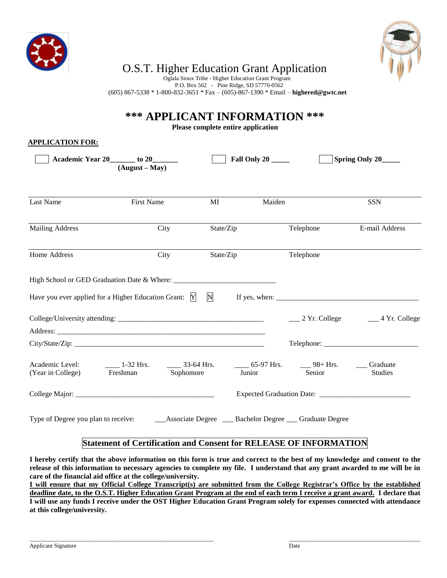



# O.S.T. Higher Education Grant Application

 Oglala Sioux Tribe - Higher Education Grant Program P.O. Box 562 - Pine Ridge, SD 57770-0562 (605) 867-5338 \* 1-800-832-3651 \* Fax – (605)-867-1390 \* Email – **[highered@gwtc.net](mailto:highered@gwtc.net)**

**\*\*\* APPLICANT INFORMATION \*\*\***

**Please complete entire application**

#### **APPLICATION FOR:**

|                                                                             | Academic Year 20 _____ to 20______<br>$(August - May)$ | <b>Fall Only 20 _____</b> |              |        | Spring Only 20_____                                        |                                                       |  |  |
|-----------------------------------------------------------------------------|--------------------------------------------------------|---------------------------|--------------|--------|------------------------------------------------------------|-------------------------------------------------------|--|--|
| Last Name                                                                   | First Name                                             |                           | $\mathbf{M}$ | Maiden |                                                            | <b>SSN</b>                                            |  |  |
| <b>Mailing Address</b>                                                      | City                                                   |                           | State/Zip    |        | Telephone<br>E-mail Address                                |                                                       |  |  |
| Home Address                                                                |                                                        | City                      | State/Zip    |        | Telephone                                                  |                                                       |  |  |
|                                                                             |                                                        |                           |              |        |                                                            |                                                       |  |  |
| Have you ever applied for a Higher Education Grant: Y                       |                                                        |                           | $\mathbf N$  |        |                                                            |                                                       |  |  |
|                                                                             |                                                        |                           |              |        |                                                            | $\frac{1}{2}$ Yr. College $\frac{1}{2}$ 4 Yr. College |  |  |
|                                                                             |                                                        |                           |              |        |                                                            |                                                       |  |  |
|                                                                             |                                                        |                           |              |        |                                                            |                                                       |  |  |
| Academic Level: _________ 1-32 Hrs. _______ 33-64 Hrs.<br>(Year in College) | Freshman Sophomore                                     |                           |              | Junior | $\frac{1}{2}$ 65-97 Hrs. $\frac{1}{2}$ 98+ Hrs.<br>Senior  | Graduate<br><b>Studies</b>                            |  |  |
|                                                                             |                                                        |                           |              |        |                                                            |                                                       |  |  |
| Type of Degree you plan to receive:                                         |                                                        |                           |              |        | __Associate Degree ___ Bachelor Degree ___ Graduate Degree |                                                       |  |  |

#### **Statement of Certification and Consent for RELEASE OF INFORMATION**

**I hereby certify that the above information on this form is true and correct to the best of my knowledge and consent to the release of this information to necessary agencies to complete my file. I understand that any grant awarded to me will be in care of the financial aid office at the college/university.** 

**I will ensure that my Official College Transcript(s) are submitted from the College Registrar's Office by the established deadline date, to the O.S.T. Higher Education Grant Program at the end of each term I receive a grant award. I declare that I will use any funds I receive under the OST Higher Education Grant Program solely for expenses connected with attendance at this college/university.**

\_\_\_\_\_\_\_\_\_\_\_\_\_\_\_\_\_\_\_\_\_\_\_\_\_\_\_\_\_\_\_\_\_\_\_\_\_\_\_\_\_\_\_\_\_\_\_\_\_\_\_\_\_\_\_\_\_\_\_\_\_\_\_ \_\_\_\_\_\_\_\_\_\_\_\_\_\_\_\_\_\_\_\_\_\_\_\_\_\_\_\_\_\_\_\_\_\_\_\_\_\_\_\_\_\_\_\_\_